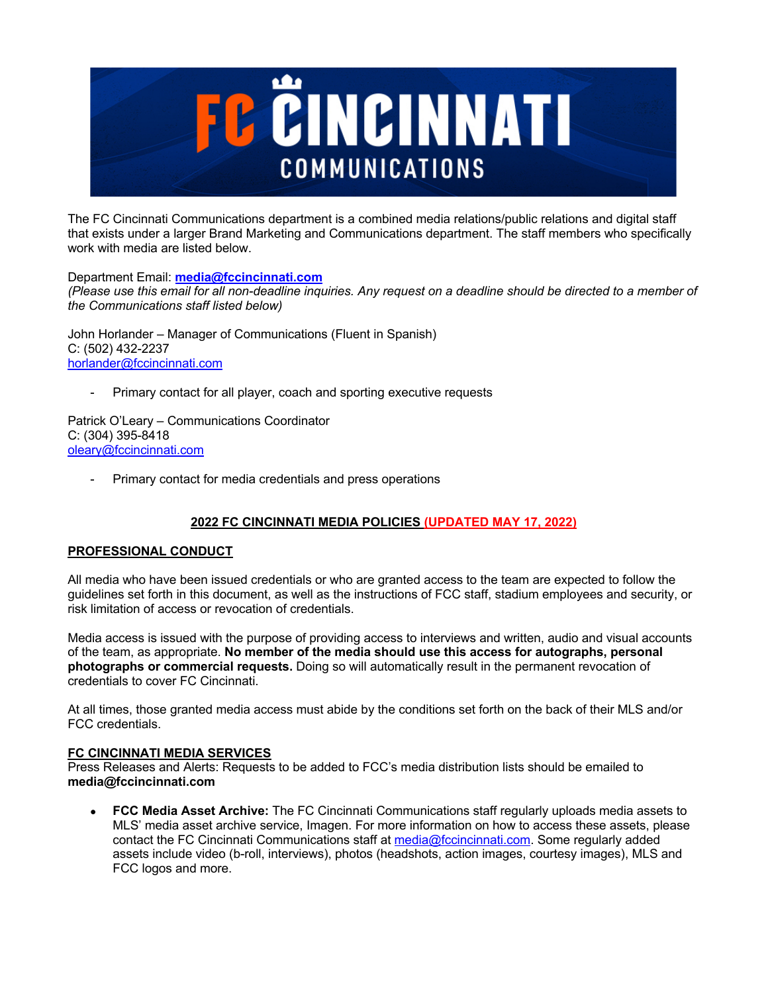

The FC Cincinnati Communications department is a combined media relations/public relations and digital staff that exists under a larger Brand Marketing and Communications department. The staff members who specifically work with media are listed below.

Department Email: **media@fccincinnati.com**

*(Please use this email for all non-deadline inquiries. Any request on a deadline should be directed to a member of the Communications staff listed below)*

John Horlander – Manager of Communications (Fluent in Spanish) C: (502) 432-2237 horlander@fccincinnati.com

Primary contact for all player, coach and sporting executive requests

Patrick O'Leary – Communications Coordinator C: (304) 395-8418 oleary@fccincinnati.com

Primary contact for media credentials and press operations

# **2022 FC CINCINNATI MEDIA POLICIES (UPDATED MAY 17, 2022)**

# **PROFESSIONAL CONDUCT**

All media who have been issued credentials or who are granted access to the team are expected to follow the guidelines set forth in this document, as well as the instructions of FCC staff, stadium employees and security, or risk limitation of access or revocation of credentials.

Media access is issued with the purpose of providing access to interviews and written, audio and visual accounts of the team, as appropriate. **No member of the media should use this access for autographs, personal photographs or commercial requests.** Doing so will automatically result in the permanent revocation of credentials to cover FC Cincinnati.

At all times, those granted media access must abide by the conditions set forth on the back of their MLS and/or FCC credentials.

# **FC CINCINNATI MEDIA SERVICES**

Press Releases and Alerts: Requests to be added to FCC's media distribution lists should be emailed to **media@fccincinnati.com**

• **FCC Media Asset Archive:** The FC Cincinnati Communications staff regularly uploads media assets to MLS' media asset archive service, Imagen. For more information on how to access these assets, please contact the FC Cincinnati Communications staff at media@fccincinnati.com. Some regularly added assets include video (b-roll, interviews), photos (headshots, action images, courtesy images), MLS and FCC logos and more.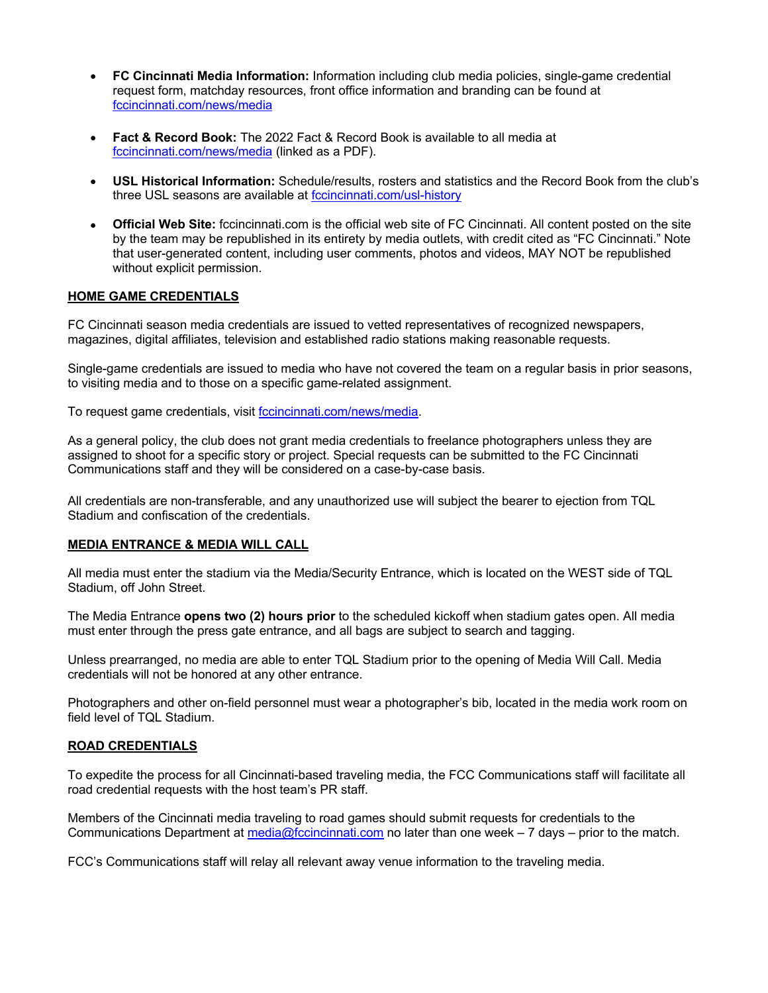- **FC Cincinnati Media Information:** Information including club media policies, single-game credential request form, matchday resources, front office information and branding can be found at fccincinnati.com/news/media
- **Fact & Record Book:** The 2022 Fact & Record Book is available to all media at fccincinnati.com/news/media (linked as a PDF).
- **USL Historical Information:** Schedule/results, rosters and statistics and the Record Book from the club's three USL seasons are available at fccincinnati.com/usl-history
- **Official Web Site:** fccincinnati.com is the official web site of FC Cincinnati. All content posted on the site by the team may be republished in its entirety by media outlets, with credit cited as "FC Cincinnati." Note that user-generated content, including user comments, photos and videos, MAY NOT be republished without explicit permission.

## **HOME GAME CREDENTIALS**

FC Cincinnati season media credentials are issued to vetted representatives of recognized newspapers, magazines, digital affiliates, television and established radio stations making reasonable requests.

Single-game credentials are issued to media who have not covered the team on a regular basis in prior seasons, to visiting media and to those on a specific game-related assignment.

To request game credentials, visit fccincinnati.com/news/media.

As a general policy, the club does not grant media credentials to freelance photographers unless they are assigned to shoot for a specific story or project. Special requests can be submitted to the FC Cincinnati Communications staff and they will be considered on a case-by-case basis.

All credentials are non-transferable, and any unauthorized use will subject the bearer to ejection from TQL Stadium and confiscation of the credentials.

#### **MEDIA ENTRANCE & MEDIA WILL CALL**

All media must enter the stadium via the Media/Security Entrance, which is located on the WEST side of TQL Stadium, off John Street.

The Media Entrance **opens two (2) hours prior** to the scheduled kickoff when stadium gates open. All media must enter through the press gate entrance, and all bags are subject to search and tagging.

Unless prearranged, no media are able to enter TQL Stadium prior to the opening of Media Will Call. Media credentials will not be honored at any other entrance.

Photographers and other on-field personnel must wear a photographer's bib, located in the media work room on field level of TQL Stadium.

#### **ROAD CREDENTIALS**

To expedite the process for all Cincinnati-based traveling media, the FCC Communications staff will facilitate all road credential requests with the host team's PR staff.

Members of the Cincinnati media traveling to road games should submit requests for credentials to the Communications Department at media@fccincinnati.com no later than one week – 7 days – prior to the match.

FCC's Communications staff will relay all relevant away venue information to the traveling media.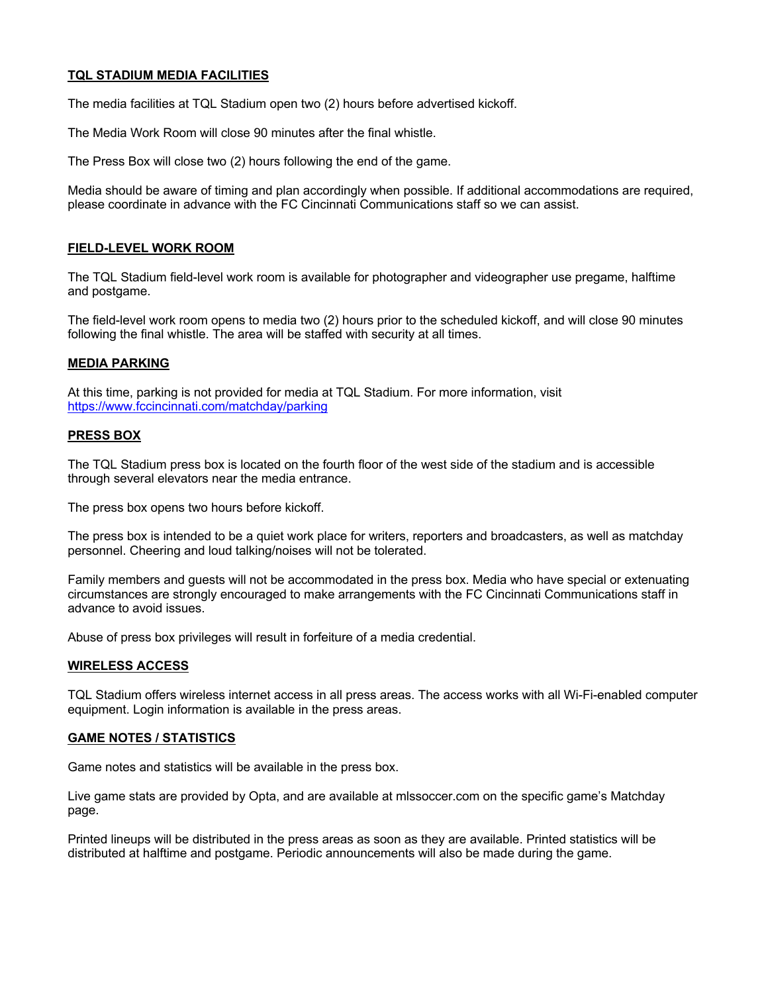## **TQL STADIUM MEDIA FACILITIES**

The media facilities at TQL Stadium open two (2) hours before advertised kickoff.

The Media Work Room will close 90 minutes after the final whistle.

The Press Box will close two (2) hours following the end of the game.

Media should be aware of timing and plan accordingly when possible. If additional accommodations are required, please coordinate in advance with the FC Cincinnati Communications staff so we can assist.

# **FIELD-LEVEL WORK ROOM**

The TQL Stadium field-level work room is available for photographer and videographer use pregame, halftime and postgame.

The field-level work room opens to media two (2) hours prior to the scheduled kickoff, and will close 90 minutes following the final whistle. The area will be staffed with security at all times.

## **MEDIA PARKING**

At this time, parking is not provided for media at TQL Stadium. For more information, visit https://www.fccincinnati.com/matchday/parking

#### **PRESS BOX**

The TQL Stadium press box is located on the fourth floor of the west side of the stadium and is accessible through several elevators near the media entrance.

The press box opens two hours before kickoff.

The press box is intended to be a quiet work place for writers, reporters and broadcasters, as well as matchday personnel. Cheering and loud talking/noises will not be tolerated.

Family members and guests will not be accommodated in the press box. Media who have special or extenuating circumstances are strongly encouraged to make arrangements with the FC Cincinnati Communications staff in advance to avoid issues.

Abuse of press box privileges will result in forfeiture of a media credential.

#### **WIRELESS ACCESS**

TQL Stadium offers wireless internet access in all press areas. The access works with all Wi-Fi-enabled computer equipment. Login information is available in the press areas.

#### **GAME NOTES / STATISTICS**

Game notes and statistics will be available in the press box.

Live game stats are provided by Opta, and are available at mlssoccer.com on the specific game's Matchday page.

Printed lineups will be distributed in the press areas as soon as they are available. Printed statistics will be distributed at halftime and postgame. Periodic announcements will also be made during the game.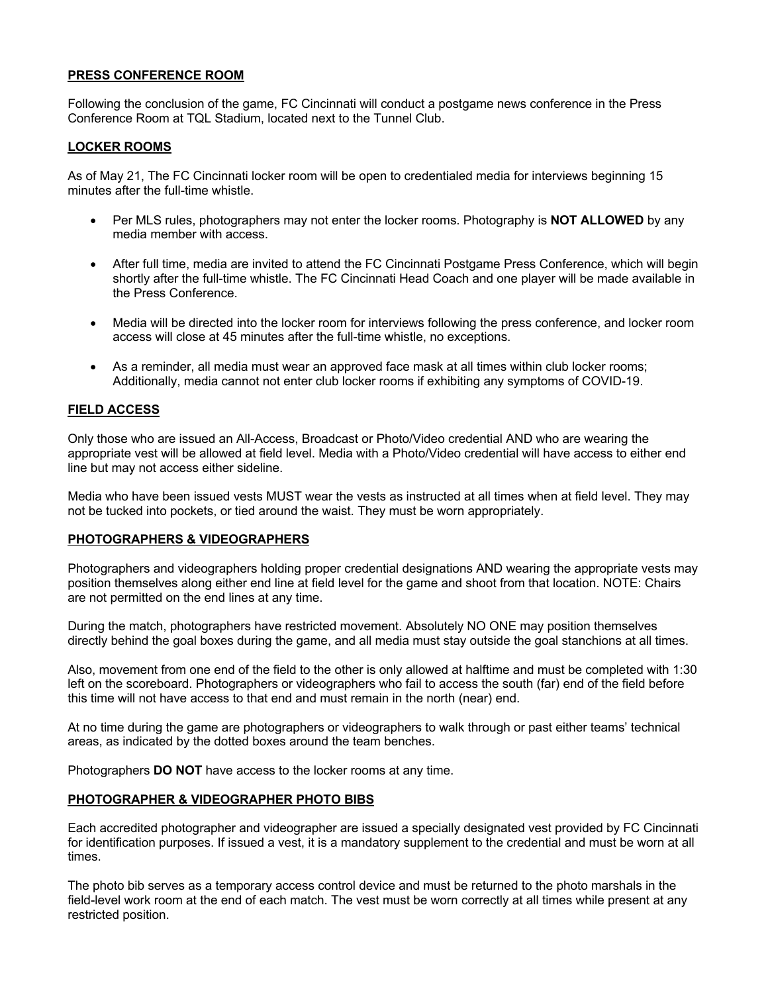## **PRESS CONFERENCE ROOM**

Following the conclusion of the game, FC Cincinnati will conduct a postgame news conference in the Press Conference Room at TQL Stadium, located next to the Tunnel Club.

#### **LOCKER ROOMS**

As of May 21, The FC Cincinnati locker room will be open to credentialed media for interviews beginning 15 minutes after the full-time whistle.

- Per MLS rules, photographers may not enter the locker rooms. Photography is **NOT ALLOWED** by any media member with access.
- After full time, media are invited to attend the FC Cincinnati Postgame Press Conference, which will begin shortly after the full-time whistle. The FC Cincinnati Head Coach and one player will be made available in the Press Conference.
- Media will be directed into the locker room for interviews following the press conference, and locker room access will close at 45 minutes after the full-time whistle, no exceptions.
- As a reminder, all media must wear an approved face mask at all times within club locker rooms; Additionally, media cannot not enter club locker rooms if exhibiting any symptoms of COVID-19.

## **FIELD ACCESS**

Only those who are issued an All-Access, Broadcast or Photo/Video credential AND who are wearing the appropriate vest will be allowed at field level. Media with a Photo/Video credential will have access to either end line but may not access either sideline.

Media who have been issued vests MUST wear the vests as instructed at all times when at field level. They may not be tucked into pockets, or tied around the waist. They must be worn appropriately.

#### **PHOTOGRAPHERS & VIDEOGRAPHERS**

Photographers and videographers holding proper credential designations AND wearing the appropriate vests may position themselves along either end line at field level for the game and shoot from that location. NOTE: Chairs are not permitted on the end lines at any time.

During the match, photographers have restricted movement. Absolutely NO ONE may position themselves directly behind the goal boxes during the game, and all media must stay outside the goal stanchions at all times.

Also, movement from one end of the field to the other is only allowed at halftime and must be completed with 1:30 left on the scoreboard. Photographers or videographers who fail to access the south (far) end of the field before this time will not have access to that end and must remain in the north (near) end.

At no time during the game are photographers or videographers to walk through or past either teams' technical areas, as indicated by the dotted boxes around the team benches.

Photographers **DO NOT** have access to the locker rooms at any time.

#### **PHOTOGRAPHER & VIDEOGRAPHER PHOTO BIBS**

Each accredited photographer and videographer are issued a specially designated vest provided by FC Cincinnati for identification purposes. If issued a vest, it is a mandatory supplement to the credential and must be worn at all times.

The photo bib serves as a temporary access control device and must be returned to the photo marshals in the field-level work room at the end of each match. The vest must be worn correctly at all times while present at any restricted position.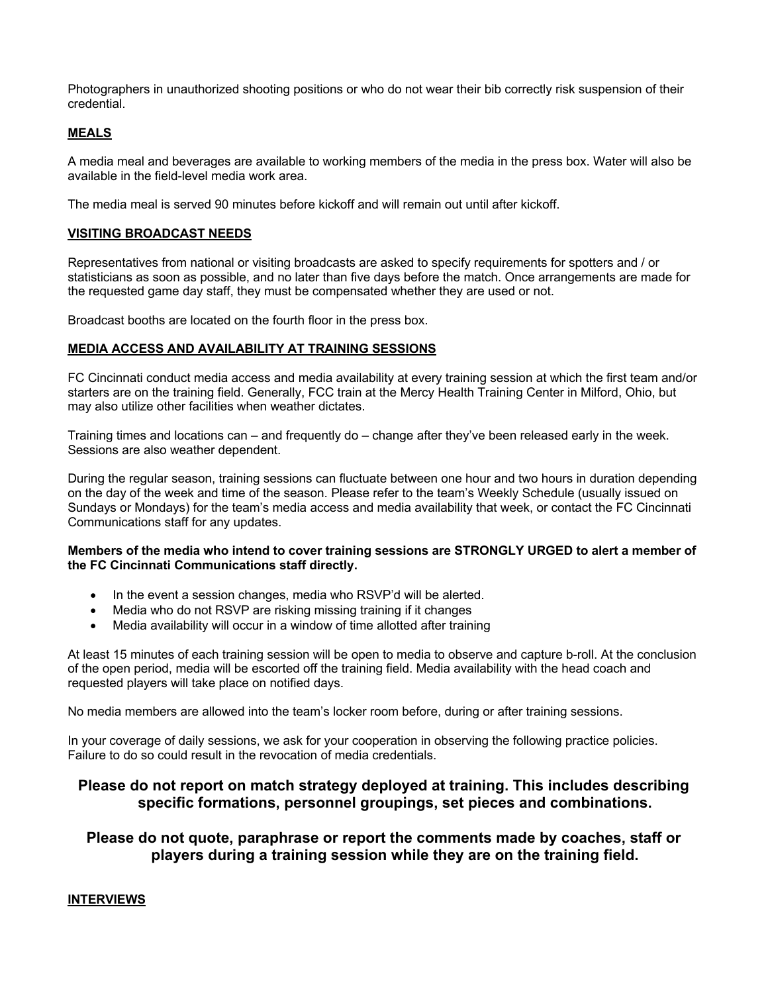Photographers in unauthorized shooting positions or who do not wear their bib correctly risk suspension of their credential.

## **MEALS**

A media meal and beverages are available to working members of the media in the press box. Water will also be available in the field-level media work area.

The media meal is served 90 minutes before kickoff and will remain out until after kickoff.

#### **VISITING BROADCAST NEEDS**

Representatives from national or visiting broadcasts are asked to specify requirements for spotters and / or statisticians as soon as possible, and no later than five days before the match. Once arrangements are made for the requested game day staff, they must be compensated whether they are used or not.

Broadcast booths are located on the fourth floor in the press box.

#### **MEDIA ACCESS AND AVAILABILITY AT TRAINING SESSIONS**

FC Cincinnati conduct media access and media availability at every training session at which the first team and/or starters are on the training field. Generally, FCC train at the Mercy Health Training Center in Milford, Ohio, but may also utilize other facilities when weather dictates.

Training times and locations can – and frequently do – change after they've been released early in the week. Sessions are also weather dependent.

During the regular season, training sessions can fluctuate between one hour and two hours in duration depending on the day of the week and time of the season. Please refer to the team's Weekly Schedule (usually issued on Sundays or Mondays) for the team's media access and media availability that week, or contact the FC Cincinnati Communications staff for any updates.

## **Members of the media who intend to cover training sessions are STRONGLY URGED to alert a member of the FC Cincinnati Communications staff directly.**

- In the event a session changes, media who RSVP'd will be alerted.
- Media who do not RSVP are risking missing training if it changes
- Media availability will occur in a window of time allotted after training

At least 15 minutes of each training session will be open to media to observe and capture b-roll. At the conclusion of the open period, media will be escorted off the training field. Media availability with the head coach and requested players will take place on notified days.

No media members are allowed into the team's locker room before, during or after training sessions.

In your coverage of daily sessions, we ask for your cooperation in observing the following practice policies. Failure to do so could result in the revocation of media credentials.

# **Please do not report on match strategy deployed at training. This includes describing specific formations, personnel groupings, set pieces and combinations.**

# **Please do not quote, paraphrase or report the comments made by coaches, staff or players during a training session while they are on the training field.**

# **INTERVIEWS**